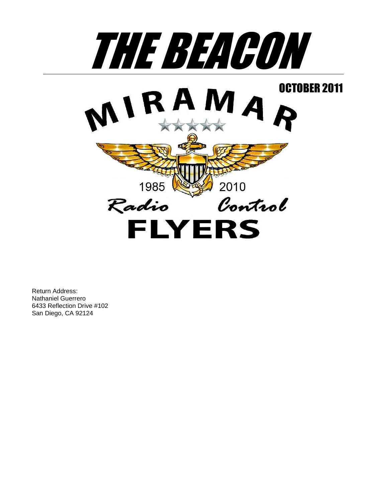

Return Address: Nathaniel Guerrero 6433 Reflection Drive #102 San Diego, CA 92124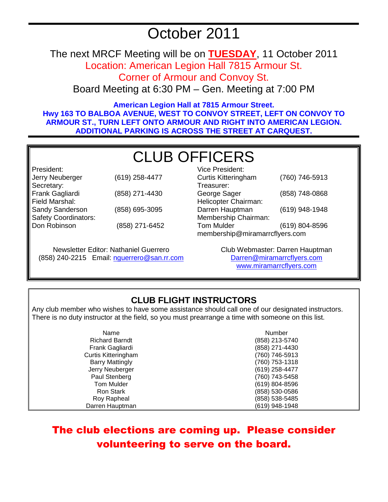# October 2011

The next MRCF Meeting will be on **TUESDAY**, 11 October 2011 Location: American Legion Hall 7815 Armour St.

Corner of Armour and Convoy St.

Board Meeting at 6:30 PM – Gen. Meeting at 7:00 PM

**American Legion Hall at 7815 Armour Street. Hwy 163 TO BALBOA AVENUE, WEST TO CONVOY STREET, LEFT ON CONVOY TO ARMOUR ST., TURN LEFT ONTO ARMOUR AND RIGHT INTO AMERICAN LEGION. ADDITIONAL PARKING IS ACROSS THE STREET AT CARQUEST.** 

# CLUB OFFICERS

President: Jerry Neuberger (619) 258-4477 Secretary: Frank Gagliardi (858) 271-4430 Field Marshal: Sandy Sanderson (858) 695-3095 Safety Coordinators: Don Robinson (858) 271-6452

Newsletter Editor: Nathaniel Guerrero (858) 240-2215 Email: nguerrero@san.rr.com

| Vice President:                |                |  |
|--------------------------------|----------------|--|
| <b>Curtis Kitteringham</b>     | (760) 746-5913 |  |
| Treasurer:                     |                |  |
| George Sager                   | (858) 748-0868 |  |
| Helicopter Chairman:           |                |  |
| Darren Hauptman                | (619) 948-1948 |  |
| Membership Chairman:           |                |  |
| <b>Tom Mulder</b>              | (619) 804-8596 |  |
| membership@miramarrcflyers.com |                |  |

Club Webmaster: Darren Hauptman Darren@miramarrcflyers.com www.miramarrcflyers.com

## **CLUB FLIGHT INSTRUCTORS**

Any club member who wishes to have some assistance should call one of our designated instructors. There is no duty instructor at the field, so you must prearrange a time with someone on this list.

| Name                       | Number             |
|----------------------------|--------------------|
| <b>Richard Barndt</b>      | (858) 213-5740     |
| Frank Gagliardi            | (858) 271-4430     |
| <b>Curtis Kitteringham</b> | (760) 746-5913     |
| <b>Barry Mattingly</b>     | (760) 753-1318     |
| Jerry Neuberger            | $(619)$ 258-4477   |
| Paul Stenberg              | (760) 743-5458     |
| Tom Mulder                 | $(619) 804 - 8596$ |
| Ron Stark                  | (858) 530-0586     |
| Roy Rapheal                | (858) 538-5485     |
| Darren Hauptman            | (619) 948-1948     |

## The club elections are coming up. Please consider volunteering to serve on the board.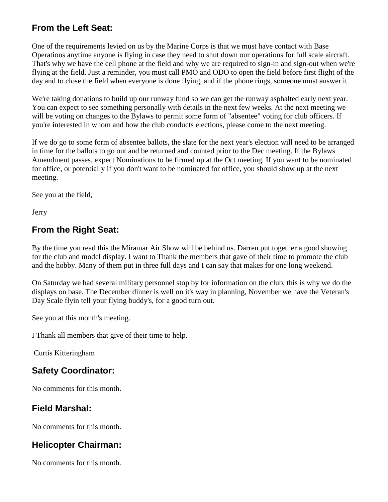## **From the Left Seat:**

One of the requirements levied on us by the Marine Corps is that we must have contact with Base Operations anytime anyone is flying in case they need to shut down our operations for full scale aircraft. That's why we have the cell phone at the field and why we are required to sign-in and sign-out when we're flying at the field. Just a reminder, you must call PMO and ODO to open the field before first flight of the day and to close the field when everyone is done flying, and if the phone rings, someone must answer it.

We're taking donations to build up our runway fund so we can get the runway asphalted early next year. You can expect to see something personally with details in the next few weeks. At the next meeting we will be voting on changes to the Bylaws to permit some form of "absentee" voting for club officers. If you're interested in whom and how the club conducts elections, please come to the next meeting.

If we do go to some form of absentee ballots, the slate for the next year's election will need to be arranged in time for the ballots to go out and be returned and counted prior to the Dec meeting. If the Bylaws Amendment passes, expect Nominations to be firmed up at the Oct meeting. If you want to be nominated for office, or potentially if you don't want to be nominated for office, you should show up at the next meeting.

See you at the field,

Jerry

## **From the Right Seat:**

By the time you read this the Miramar Air Show will be behind us. Darren put together a good showing for the club and model display. I want to Thank the members that gave of their time to promote the club and the hobby. Many of them put in three full days and I can say that makes for one long weekend.

On Saturday we had several military personnel stop by for information on the club, this is why we do the displays on base. The December dinner is well on it's way in planning, November we have the Veteran's Day Scale flyin tell your flying buddy's, for a good turn out.

See you at this month's meeting.

I Thank all members that give of their time to help.

Curtis Kitteringham

## **Safety Coordinator:**

No comments for this month.

## **Field Marshal:**

No comments for this month.

## **Helicopter Chairman:**

No comments for this month.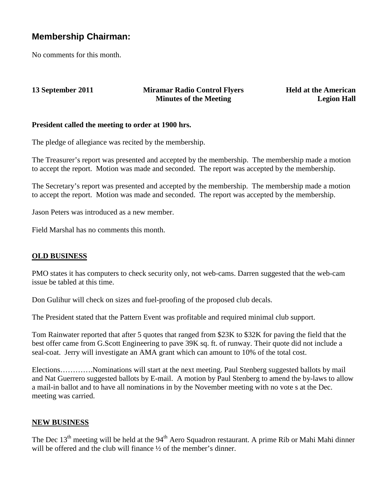### **Membership Chairman:**

No comments for this month.

#### **13 September 2011 Miramar Radio Control Flyers Minutes of the Meeting**

**Held at the American Legion Hall**

#### **President called the meeting to order at 1900 hrs.**

The pledge of allegiance was recited by the membership.

The Treasurer's report was presented and accepted by the membership. The membership made a motion to accept the report. Motion was made and seconded. The report was accepted by the membership.

The Secretary's report was presented and accepted by the membership. The membership made a motion to accept the report. Motion was made and seconded. The report was accepted by the membership.

Jason Peters was introduced as a new member.

Field Marshal has no comments this month.

#### **OLD BUSINESS**

PMO states it has computers to check security only, not web-cams. Darren suggested that the web-cam issue be tabled at this time.

Don Gulihur will check on sizes and fuel-proofing of the proposed club decals.

The President stated that the Pattern Event was profitable and required minimal club support.

Tom Rainwater reported that after 5 quotes that ranged from \$23K to \$32K for paving the field that the best offer came from G.Scott Engineering to pave 39K sq. ft. of runway. Their quote did not include a seal-coat. Jerry will investigate an AMA grant which can amount to 10% of the total cost.

Elections………….Nominations will start at the next meeting. Paul Stenberg suggested ballots by mail and Nat Guerrero suggested ballots by E-mail. A motion by Paul Stenberg to amend the by-laws to allow a mail-in ballot and to have all nominations in by the November meeting with no vote s at the Dec. meeting was carried.

#### **NEW BUSINESS**

The Dec 13<sup>th</sup> meeting will be held at the 94<sup>th</sup> Aero Squadron restaurant. A prime Rib or Mahi Mahi dinner will be offered and the club will finance  $\frac{1}{2}$  of the member's dinner.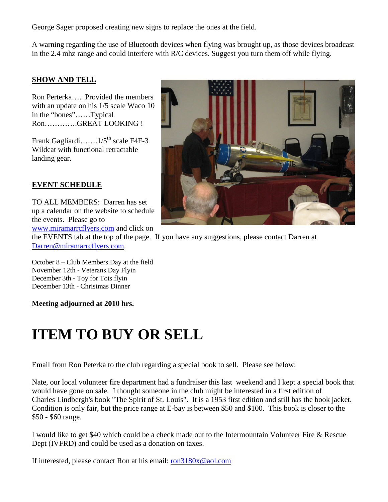George Sager proposed creating new signs to replace the ones at the field.

A warning regarding the use of Bluetooth devices when flying was brought up, as those devices broadcast in the 2.4 mhz range and could interfere with R/C devices. Suggest you turn them off while flying.

#### **SHOW AND TELL**

Ron Perterka…. Provided the members with an update on his 1/5 scale Waco 10 in the "bones"……Typical Ron………….GREAT LOOKING !

Frank Gagliardi……. $1/5^{th}$  scale F4F-3 Wildcat with functional retractable landing gear.

#### **EVENT SCHEDULE**

TO ALL MEMBERS: Darren has set up a calendar on the website to schedule the events. Please go to www.miramarrcflyers.com and click on



the EVENTS tab at the top of the page. If you have any suggestions, please contact Darren at Darren@miramarrcflyers.com.

October 8 – Club Members Day at the field November 12th - Veterans Day Flyin December 3th - Toy for Tots flyin December 13th - Christmas Dinner

#### **Meeting adjourned at 2010 hrs.**

# **ITEM TO BUY OR SELL**

Email from Ron Peterka to the club regarding a special book to sell. Please see below:

Nate, our local volunteer fire department had a fundraiser this last weekend and I kept a special book that would have gone on sale. I thought someone in the club might be interested in a first edition of Charles Lindbergh's book "The Spirit of St. Louis". It is a 1953 first edition and still has the book jacket. Condition is only fair, but the price range at E-bay is between \$50 and \$100. This book is closer to the \$50 - \$60 range.

I would like to get \$40 which could be a check made out to the Intermountain Volunteer Fire & Rescue Dept (IVFRD) and could be used as a donation on taxes.

If interested, please contact Ron at his email: ron3180x@aol.com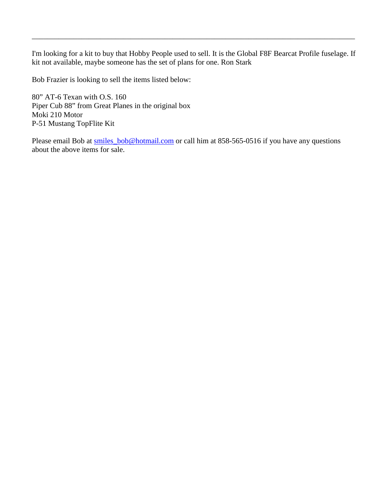I'm looking for a kit to buy that Hobby People used to sell. It is the Global F8F Bearcat Profile fuselage. If kit not available, maybe someone has the set of plans for one. Ron Stark

\_\_\_\_\_\_\_\_\_\_\_\_\_\_\_\_\_\_\_\_\_\_\_\_\_\_\_\_\_\_\_\_\_\_\_\_\_\_\_\_\_\_\_\_\_\_\_\_\_\_\_\_\_\_\_\_\_\_\_\_\_\_\_\_\_\_\_\_\_\_\_\_\_\_\_\_\_\_\_\_\_\_\_\_\_

Bob Frazier is looking to sell the items listed below:

80" AT-6 Texan with O.S. 160 Piper Cub 88" from Great Planes in the original box Moki 210 Motor P-51 Mustang TopFlite Kit

Please email Bob at smiles\_bob@hotmail.com or call him at 858-565-0516 if you have any questions about the above items for sale.